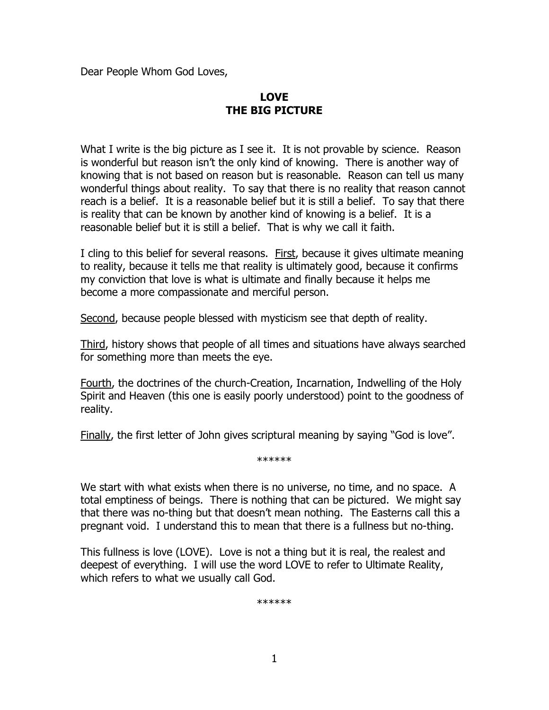Dear People Whom God Loves,

## **LOVE THE BIG PICTURE**

What I write is the big picture as I see it. It is not provable by science. Reason is wonderful but reason isn't the only kind of knowing. There is another way of knowing that is not based on reason but is reasonable. Reason can tell us many wonderful things about reality. To say that there is no reality that reason cannot reach is a belief. It is a reasonable belief but it is still a belief. To say that there is reality that can be known by another kind of knowing is a belief. It is a reasonable belief but it is still a belief. That is why we call it faith.

I cling to this belief for several reasons. First, because it gives ultimate meaning to reality, because it tells me that reality is ultimately good, because it confirms my conviction that love is what is ultimate and finally because it helps me become a more compassionate and merciful person.

Second, because people blessed with mysticism see that depth of reality.

Third, history shows that people of all times and situations have always searched for something more than meets the eye.

Fourth, the doctrines of the church-Creation, Incarnation, Indwelling of the Holy Spirit and Heaven (this one is easily poorly understood) point to the goodness of reality.

Finally, the first letter of John gives scriptural meaning by saying "God is love".

\*\*\*\*\*\*

We start with what exists when there is no universe, no time, and no space. A total emptiness of beings. There is nothing that can be pictured. We might say that there was no-thing but that doesn't mean nothing. The Easterns call this a pregnant void. I understand this to mean that there is a fullness but no-thing.

This fullness is love (LOVE). Love is not a thing but it is real, the realest and deepest of everything. I will use the word LOVE to refer to Ultimate Reality, which refers to what we usually call God.

\*\*\*\*\*\*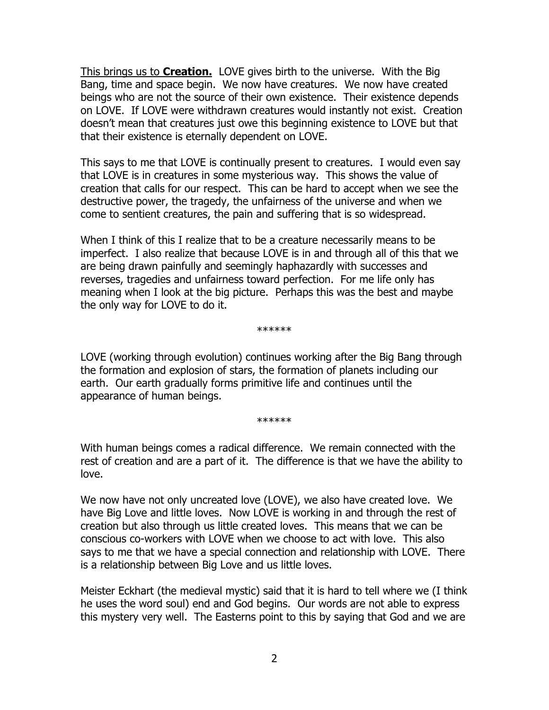This brings us to **Creation.** LOVE gives birth to the universe. With the Big Bang, time and space begin. We now have creatures. We now have created beings who are not the source of their own existence. Their existence depends on LOVE. If LOVE were withdrawn creatures would instantly not exist. Creation doesn't mean that creatures just owe this beginning existence to LOVE but that that their existence is eternally dependent on LOVE.

This says to me that LOVE is continually present to creatures. I would even say that LOVE is in creatures in some mysterious way. This shows the value of creation that calls for our respect. This can be hard to accept when we see the destructive power, the tragedy, the unfairness of the universe and when we come to sentient creatures, the pain and suffering that is so widespread.

When I think of this I realize that to be a creature necessarily means to be imperfect. I also realize that because LOVE is in and through all of this that we are being drawn painfully and seemingly haphazardly with successes and reverses, tragedies and unfairness toward perfection. For me life only has meaning when I look at the big picture. Perhaps this was the best and maybe the only way for LOVE to do it.

\*\*\*\*\*\*

LOVE (working through evolution) continues working after the Big Bang through the formation and explosion of stars, the formation of planets including our earth. Our earth gradually forms primitive life and continues until the appearance of human beings.

\*\*\*\*\*\*

With human beings comes a radical difference. We remain connected with the rest of creation and are a part of it. The difference is that we have the ability to love.

We now have not only uncreated love (LOVE), we also have created love. We have Big Love and little loves. Now LOVE is working in and through the rest of creation but also through us little created loves. This means that we can be conscious co-workers with LOVE when we choose to act with love. This also says to me that we have a special connection and relationship with LOVE. There is a relationship between Big Love and us little loves.

Meister Eckhart (the medieval mystic) said that it is hard to tell where we (I think he uses the word soul) end and God begins. Our words are not able to express this mystery very well. The Easterns point to this by saying that God and we are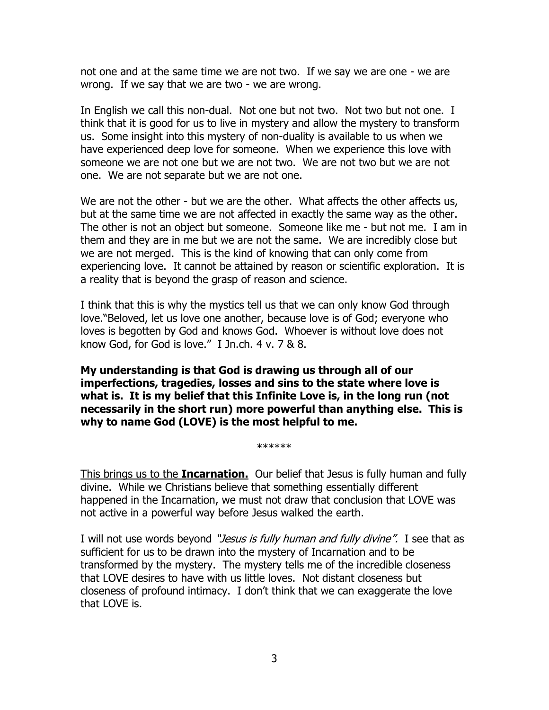not one and at the same time we are not two. If we say we are one - we are wrong. If we say that we are two - we are wrong.

In English we call this non-dual. Not one but not two. Not two but not one. I think that it is good for us to live in mystery and allow the mystery to transform us. Some insight into this mystery of non-duality is available to us when we have experienced deep love for someone. When we experience this love with someone we are not one but we are not two. We are not two but we are not one. We are not separate but we are not one.

We are not the other - but we are the other. What affects the other affects us, but at the same time we are not affected in exactly the same way as the other. The other is not an object but someone. Someone like me - but not me. I am in them and they are in me but we are not the same. We are incredibly close but we are not merged. This is the kind of knowing that can only come from experiencing love. It cannot be attained by reason or scientific exploration. It is a reality that is beyond the grasp of reason and science.

I think that this is why the mystics tell us that we can only know God through love."Beloved, let us love one another, because love is of God; everyone who loves is begotten by God and knows God. Whoever is without love does not know God, for God is love." I Jn.ch. 4 v. 7 & 8.

**My understanding is that God is drawing us through all of our imperfections, tragedies, losses and sins to the state where love is what is. It is my belief that this Infinite Love is, in the long run (not necessarily in the short run) more powerful than anything else. This is why to name God (LOVE) is the most helpful to me.**

\*\*\*\*\*\*

This brings us to the **Incarnation.** Our belief that Jesus is fully human and fully divine. While we Christians believe that something essentially different happened in the Incarnation, we must not draw that conclusion that LOVE was not active in a powerful way before Jesus walked the earth.

I will not use words beyond "Jesus is fully human and fully divine". I see that as sufficient for us to be drawn into the mystery of Incarnation and to be transformed by the mystery. The mystery tells me of the incredible closeness that LOVE desires to have with us little loves. Not distant closeness but closeness of profound intimacy. I don't think that we can exaggerate the love that LOVE is.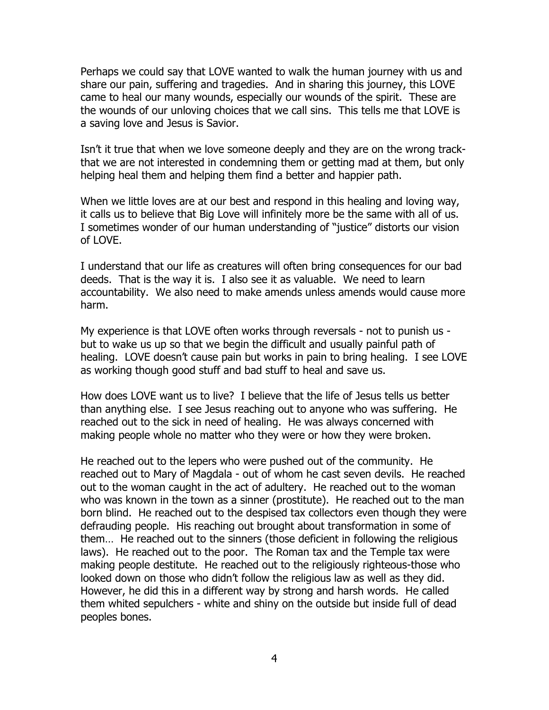Perhaps we could say that LOVE wanted to walk the human journey with us and share our pain, suffering and tragedies. And in sharing this journey, this LOVE came to heal our many wounds, especially our wounds of the spirit. These are the wounds of our unloving choices that we call sins. This tells me that LOVE is a saving love and Jesus is Savior.

Isn't it true that when we love someone deeply and they are on the wrong trackthat we are not interested in condemning them or getting mad at them, but only helping heal them and helping them find a better and happier path.

When we little loves are at our best and respond in this healing and loving way, it calls us to believe that Big Love will infinitely more be the same with all of us. I sometimes wonder of our human understanding of "justice" distorts our vision of LOVE.

I understand that our life as creatures will often bring consequences for our bad deeds. That is the way it is. I also see it as valuable. We need to learn accountability. We also need to make amends unless amends would cause more harm.

My experience is that LOVE often works through reversals - not to punish us but to wake us up so that we begin the difficult and usually painful path of healing. LOVE doesn't cause pain but works in pain to bring healing. I see LOVE as working though good stuff and bad stuff to heal and save us.

How does LOVE want us to live? I believe that the life of Jesus tells us better than anything else. I see Jesus reaching out to anyone who was suffering. He reached out to the sick in need of healing. He was always concerned with making people whole no matter who they were or how they were broken.

He reached out to the lepers who were pushed out of the community. He reached out to Mary of Magdala - out of whom he cast seven devils. He reached out to the woman caught in the act of adultery. He reached out to the woman who was known in the town as a sinner (prostitute). He reached out to the man born blind. He reached out to the despised tax collectors even though they were defrauding people. His reaching out brought about transformation in some of them… He reached out to the sinners (those deficient in following the religious laws). He reached out to the poor. The Roman tax and the Temple tax were making people destitute. He reached out to the religiously righteous-those who looked down on those who didn't follow the religious law as well as they did. However, he did this in a different way by strong and harsh words. He called them whited sepulchers - white and shiny on the outside but inside full of dead peoples bones.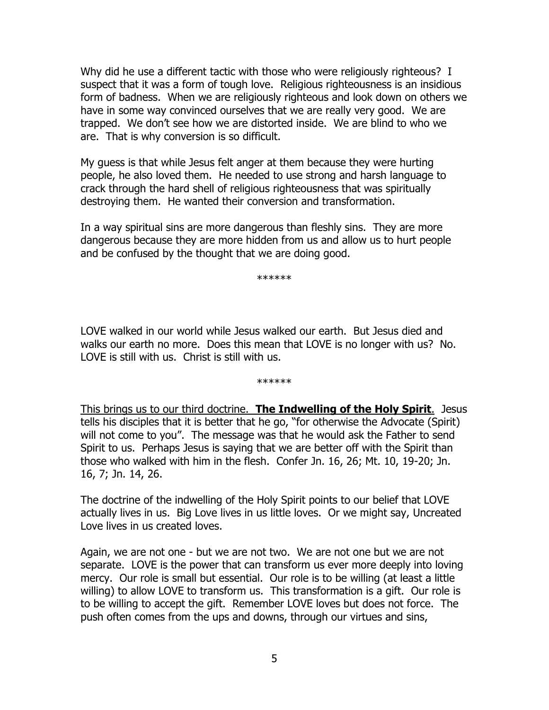Why did he use a different tactic with those who were religiously righteous? I suspect that it was a form of tough love. Religious righteousness is an insidious form of badness. When we are religiously righteous and look down on others we have in some way convinced ourselves that we are really very good. We are trapped. We don't see how we are distorted inside. We are blind to who we are. That is why conversion is so difficult.

My guess is that while Jesus felt anger at them because they were hurting people, he also loved them. He needed to use strong and harsh language to crack through the hard shell of religious righteousness that was spiritually destroying them. He wanted their conversion and transformation.

In a way spiritual sins are more dangerous than fleshly sins. They are more dangerous because they are more hidden from us and allow us to hurt people and be confused by the thought that we are doing good.

\*\*\*\*\*\*

LOVE walked in our world while Jesus walked our earth. But Jesus died and walks our earth no more. Does this mean that LOVE is no longer with us? No. LOVE is still with us. Christ is still with us.

\*\*\*\*\*\*

This brings us to our third doctrine. **The Indwelling of the Holy Spirit**. Jesus tells his disciples that it is better that he go, "for otherwise the Advocate (Spirit) will not come to you". The message was that he would ask the Father to send Spirit to us. Perhaps Jesus is saying that we are better off with the Spirit than those who walked with him in the flesh. Confer Jn. 16, 26; Mt. 10, 19-20; Jn. 16, 7; Jn. 14, 26.

The doctrine of the indwelling of the Holy Spirit points to our belief that LOVE actually lives in us. Big Love lives in us little loves. Or we might say, Uncreated Love lives in us created loves.

Again, we are not one - but we are not two. We are not one but we are not separate. LOVE is the power that can transform us ever more deeply into loving mercy. Our role is small but essential. Our role is to be willing (at least a little willing) to allow LOVE to transform us. This transformation is a gift. Our role is to be willing to accept the gift. Remember LOVE loves but does not force. The push often comes from the ups and downs, through our virtues and sins,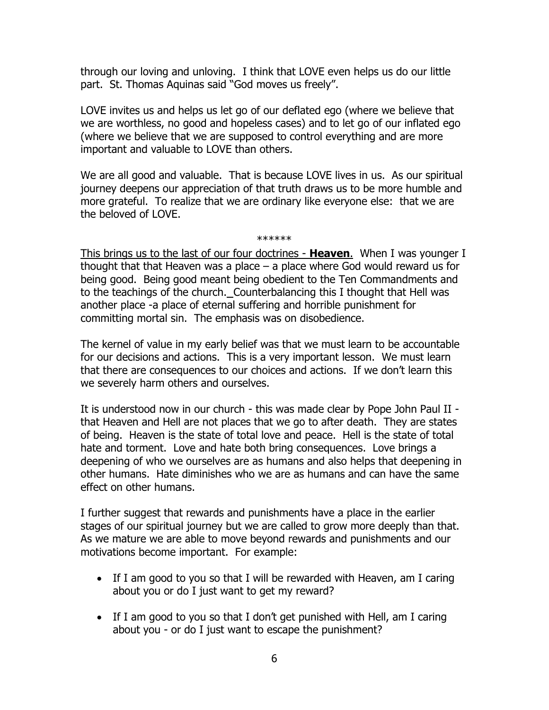through our loving and unloving. I think that LOVE even helps us do our little part. St. Thomas Aquinas said "God moves us freely".

LOVE invites us and helps us let go of our deflated ego (where we believe that we are worthless, no good and hopeless cases) and to let go of our inflated ego (where we believe that we are supposed to control everything and are more important and valuable to LOVE than others.

We are all good and valuable. That is because LOVE lives in us. As our spiritual journey deepens our appreciation of that truth draws us to be more humble and more grateful. To realize that we are ordinary like everyone else: that we are the beloved of LOVE.

\*\*\*\*\*\*

This brings us to the last of our four doctrines - **Heaven**. When I was younger I thought that that Heaven was a place  $-$  a place where God would reward us for being good. Being good meant being obedient to the Ten Commandments and to the teachings of the church. Counterbalancing this I thought that Hell was another place -a place of eternal suffering and horrible punishment for committing mortal sin. The emphasis was on disobedience.

The kernel of value in my early belief was that we must learn to be accountable for our decisions and actions. This is a very important lesson. We must learn that there are consequences to our choices and actions. If we don't learn this we severely harm others and ourselves.

It is understood now in our church - this was made clear by Pope John Paul II that Heaven and Hell are not places that we go to after death. They are states of being. Heaven is the state of total love and peace. Hell is the state of total hate and torment. Love and hate both bring consequences. Love brings a deepening of who we ourselves are as humans and also helps that deepening in other humans. Hate diminishes who we are as humans and can have the same effect on other humans.

I further suggest that rewards and punishments have a place in the earlier stages of our spiritual journey but we are called to grow more deeply than that. As we mature we are able to move beyond rewards and punishments and our motivations become important. For example:

- If I am good to you so that I will be rewarded with Heaven, am I caring about you or do I just want to get my reward?
- If I am good to you so that I don't get punished with Hell, am I caring about you - or do I just want to escape the punishment?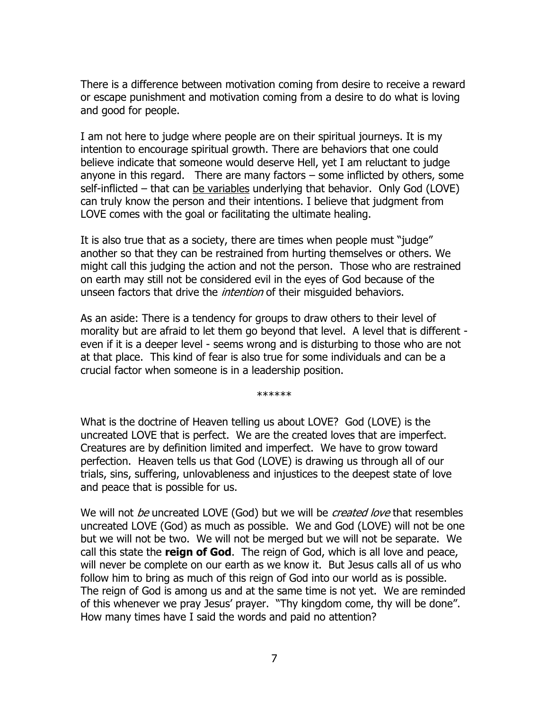There is a difference between motivation coming from desire to receive a reward or escape punishment and motivation coming from a desire to do what is loving and good for people.

I am not here to judge where people are on their spiritual journeys. It is my intention to encourage spiritual growth. There are behaviors that one could believe indicate that someone would deserve Hell, yet I am reluctant to judge anyone in this regard. There are many factors – some inflicted by others, some self-inflicted – that can be variables underlying that behavior. Only God (LOVE) can truly know the person and their intentions. I believe that judgment from LOVE comes with the goal or facilitating the ultimate healing.

It is also true that as a society, there are times when people must "judge" another so that they can be restrained from hurting themselves or others. We might call this judging the action and not the person. Those who are restrained on earth may still not be considered evil in the eyes of God because of the unseen factors that drive the *intention* of their misquided behaviors.

As an aside: There is a tendency for groups to draw others to their level of morality but are afraid to let them go beyond that level. A level that is different even if it is a deeper level - seems wrong and is disturbing to those who are not at that place. This kind of fear is also true for some individuals and can be a crucial factor when someone is in a leadership position.

\*\*\*\*\*\*

What is the doctrine of Heaven telling us about LOVE? God (LOVE) is the uncreated LOVE that is perfect. We are the created loves that are imperfect. Creatures are by definition limited and imperfect. We have to grow toward perfection. Heaven tells us that God (LOVE) is drawing us through all of our trials, sins, suffering, unlovableness and injustices to the deepest state of love and peace that is possible for us.

We will not *be* uncreated LOVE (God) but we will be *created love* that resembles uncreated LOVE (God) as much as possible. We and God (LOVE) will not be one but we will not be two. We will not be merged but we will not be separate. We call this state the **reign of God**. The reign of God, which is all love and peace, will never be complete on our earth as we know it. But Jesus calls all of us who follow him to bring as much of this reign of God into our world as is possible. The reign of God is among us and at the same time is not yet. We are reminded of this whenever we pray Jesus' prayer. "Thy kingdom come, thy will be done". How many times have I said the words and paid no attention?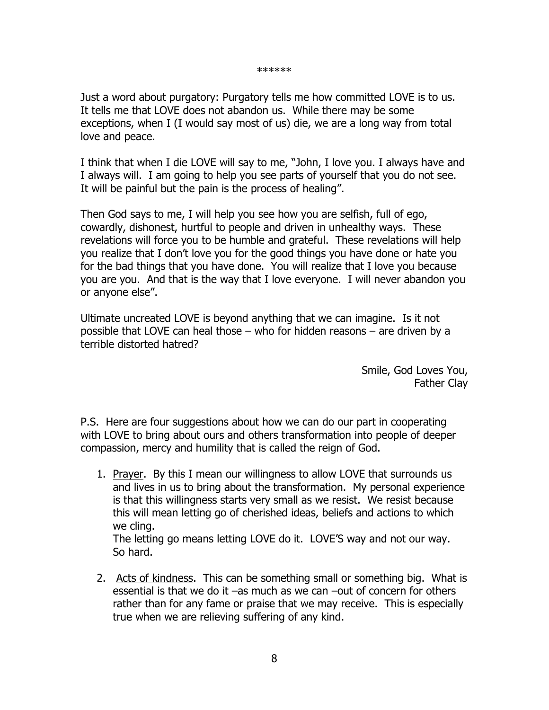## \*\*\*\*\*\*

Just a word about purgatory: Purgatory tells me how committed LOVE is to us. It tells me that LOVE does not abandon us. While there may be some exceptions, when I (I would say most of us) die, we are a long way from total love and peace.

I think that when I die LOVE will say to me, "John, I love you. I always have and I always will. I am going to help you see parts of yourself that you do not see. It will be painful but the pain is the process of healing".

Then God says to me, I will help you see how you are selfish, full of ego, cowardly, dishonest, hurtful to people and driven in unhealthy ways. These revelations will force you to be humble and grateful. These revelations will help you realize that I don't love you for the good things you have done or hate you for the bad things that you have done. You will realize that I love you because you are you. And that is the way that I love everyone. I will never abandon you or anyone else".

Ultimate uncreated LOVE is beyond anything that we can imagine. Is it not possible that LOVE can heal those – who for hidden reasons – are driven by a terrible distorted hatred?

> Smile, God Loves You, Father Clay

P.S. Here are four suggestions about how we can do our part in cooperating with LOVE to bring about ours and others transformation into people of deeper compassion, mercy and humility that is called the reign of God.

1. Prayer. By this I mean our willingness to allow LOVE that surrounds us and lives in us to bring about the transformation. My personal experience is that this willingness starts very small as we resist. We resist because this will mean letting go of cherished ideas, beliefs and actions to which we cling. The letting go means letting LOVE do it. LOVE'S way and not our way.

So hard.

2. Acts of kindness. This can be something small or something big. What is essential is that we do it –as much as we can –out of concern for others rather than for any fame or praise that we may receive. This is especially true when we are relieving suffering of any kind.